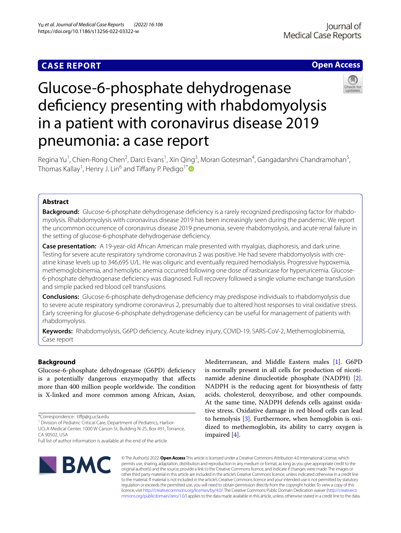# **CASE REPORT**

# **Open Access**



# Glucose-6-phosphate dehydrogenase deficiency presenting with rhabdomyolysis in a patient with coronavirus disease 2019 pneumonia: a case report

Regina Yu<sup>1</sup>, Chien-Rong Chen<sup>2</sup>, Darci Evans<sup>1</sup>, Xin Qing<sup>3</sup>, Moran Gotesman<sup>4</sup>, Gangadarshni Chandramohan<sup>5</sup>, Thomas Kallay<sup>1</sup>, Henry J. Lin<sup>6</sup> and Tiffany P. Pedigo<sup>1[\\*](http://orcid.org/0000-0002-1323-7301)</sup>

# **Abstract**

**Background:** Glucose-6-phosphate dehydrogenase deficiency is a rarely recognized predisposing factor for rhabdomyolysis. Rhabdomyolysis with coronavirus disease 2019 has been increasingly seen during the pandemic. We report the uncommon occurrence of coronavirus disease 2019 pneumonia, severe rhabdomyolysis, and acute renal failure in the setting of glucose-6-phosphate dehydrogenase defciency.

**Case presentation:** A 19-year-old African American male presented with myalgias, diaphoresis, and dark urine. Testing for severe acute respiratory syndrome coronavirus 2 was positive. He had severe rhabdomyolysis with creatine kinase levels up to 346,695 U/L. He was oliguric and eventually required hemodialysis. Progressive hypoxemia, methemoglobinemia, and hemolytic anemia occurred following one dose of rasburicase for hyperuricemia. Glucose-6-phosphate dehydrogenase defciency was diagnosed. Full recovery followed a single volume exchange transfusion and simple packed red blood cell transfusions.

**Conclusions:** Glucose-6-phosphate dehydrogenase defciency may predispose individuals to rhabdomyolysis due to severe acute respiratory syndrome coronavirus 2, presumably due to altered host responses to viral oxidative stress. Early screening for glucose-6-phosphate dehydrogenase defciency can be useful for management of patients with rhabdomyolysis.

**Keywords:** Rhabdomyolysis, G6PD defciency, Acute kidney injury, COVID-19, SARS-CoV-2, Methemoglobinemia, Case report

# **Background**

Glucose-6-phosphate dehydrogenase (G6PD) defciency is a potentially dangerous enzymopathy that afects more than 400 million people worldwide. The condition is X-linked and more common among African, Asian,

<sup>1</sup> Division of Pediatric Critical Care, Department of Pediatrics, Harbor-UCLA Medical Center, 1000 W Carson St, Building N‑25, Box 491, Torrance, is normally present in all cells for production of nicotinamide adenine dinucleotide phosphate (NADPH) [\[2](#page-3-1)]. NADPH is the reducing agent for biosynthesis of fatty acids, cholesterol, deoxyribose, and other compounds. At the same time, NADPH defends cells against oxidative stress. Oxidative damage in red blood cells can lead to hemolysis [\[3](#page-3-2)]. Furthermore, when hemoglobin is oxidized to methemoglobin, its ability to carry oxygen is impaired [[4\]](#page-3-3).

Mediterranean, and Middle Eastern males [[1\]](#page-3-0). G6PD



© The Author(s) 2022. **Open Access** This article is licensed under a Creative Commons Attribution 4.0 International License, which permits use, sharing, adaptation, distribution and reproduction in any medium or format, as long as you give appropriate credit to the original author(s) and the source, provide a link to the Creative Commons licence, and indicate if changes were made. The images or other third party material in this article are included in the article's Creative Commons licence, unless indicated otherwise in a credit line to the material. If material is not included in the article's Creative Commons licence and your intended use is not permitted by statutory regulation or exceeds the permitted use, you will need to obtain permission directly from the copyright holder. To view a copy of this licence, visit [http://creativecommons.org/licenses/by/4.0/.](http://creativecommons.org/licenses/by/4.0/) The Creative Commons Public Domain Dedication waiver ([http://creativeco](http://creativecommons.org/publicdomain/zero/1.0/) [mmons.org/publicdomain/zero/1.0/](http://creativecommons.org/publicdomain/zero/1.0/)) applies to the data made available in this article, unless otherwise stated in a credit line to the data.

<sup>\*</sup>Correspondence: tifp@g.ucla.edu

CA 90502, USA

Full list of author information is available at the end of the article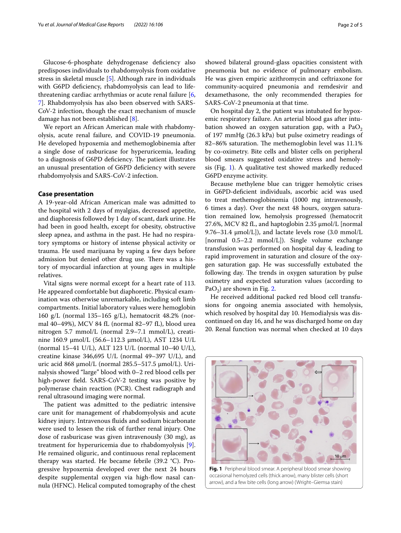Glucose-6-phosphate dehydrogenase defciency also predisposes individuals to rhabdomyolysis from oxidative stress in skeletal muscle [\[5](#page-3-4)]. Although rare in individuals with G6PD deficiency, rhabdomyolysis can lead to lifethreatening cardiac arrhythmias or acute renal failure [\[6](#page-3-5), [7\]](#page-3-6). Rhabdomyolysis has also been observed with SARS-CoV-2 infection, though the exact mechanism of muscle damage has not been established [[8\]](#page-3-7).

We report an African American male with rhabdomyolysis, acute renal failure, and COVID-19 pneumonia. He developed hypoxemia and methemoglobinemia after a single dose of rasburicase for hyperuricemia, leading to a diagnosis of G6PD deficiency. The patient illustrates an unusual presentation of G6PD defciency with severe rhabdomyolysis and SARS-CoV-2 infection.

## **Case presentation**

A 19-year-old African American male was admitted to the hospital with 2 days of myalgias, decreased appetite, and diaphoresis followed by 1 day of scant, dark urine. He had been in good health, except for obesity, obstructive sleep apnea, and asthma in the past. He had no respiratory symptoms or history of intense physical activity or trauma. He used marijuana by vaping a few days before admission but denied other drug use. There was a history of myocardial infarction at young ages in multiple relatives.

Vital signs were normal except for a heart rate of 113. He appeared comfortable but diaphoretic. Physical examination was otherwise unremarkable, including soft limb compartments. Initial laboratory values were hemoglobin 160 g/L (normal 135–165 g/L), hematocrit 48.2% (normal 40–49%), MCV 84 fL (normal 82–97 fL), blood urea nitrogen 5.7 mmol/L (normal 2.9–7.1 mmol/L), creatinine 160.9 μmol/L (56.6–112.3 μmol/L), AST 1234 U/L (normal 15–41 U/L), ALT 123 U/L (normal 10–40 U/L), creatine kinase 346,695 U/L (normal 49–397 U/L), and uric acid 868 μmol/L (normal  $285.5 - 517.5$  μmol/L). Urinalysis showed "large" blood with 0–2 red blood cells per high-power feld. SARS-CoV-2 testing was positive by polymerase chain reaction (PCR). Chest radiograph and renal ultrasound imaging were normal.

The patient was admitted to the pediatric intensive care unit for management of rhabdomyolysis and acute kidney injury. Intravenous fuids and sodium bicarbonate were used to lessen the risk of further renal injury. One dose of rasburicase was given intravenously (30 mg), as treatment for hyperuricemia due to rhabdomyolysis [\[9](#page-3-8)]. He remained oliguric, and continuous renal replacement therapy was started. He became febrile (39.2 °C). Progressive hypoxemia developed over the next 24 hours despite supplemental oxygen via high-fow nasal cannula (HFNC). Helical computed tomography of the chest

showed bilateral ground-glass opacities consistent with pneumonia but no evidence of pulmonary embolism. He was given empiric azithromycin and ceftriaxone for community-acquired pneumonia and remdesivir and dexamethasone, the only recommended therapies for SARS-CoV-2 pneumonia at that time.

On hospital day 2, the patient was intubated for hypoxemic respiratory failure. An arterial blood gas after intubation showed an oxygen saturation gap, with a  $PaO<sub>2</sub>$ of 197 mmHg (26.3 kPa) but pulse oximetry readings of 82–86% saturation. The methemoglobin level was 11.1% by co-oximetry. Bite cells and blister cells on peripheral blood smears suggested oxidative stress and hemolysis (Fig. [1](#page-1-0)). A qualitative test showed markedly reduced G6PD enzyme activity.

Because methylene blue can trigger hemolytic crises in G6PD-defcient individuals, ascorbic acid was used to treat methemoglobinemia (1000 mg intravenously, 6 times a day). Over the next 48 hours, oxygen saturation remained low, hemolysis progressed (hematocrit 27.6%, MCV 82 fL, and haptoglobin 2.35 μmol/L [normal 9.76–31.4  $\mu$ mol/L]), and lactate levels rose (3.0 mmol/L [normal 0.5–2.2 mmol/L]). Single volume exchange transfusion was performed on hospital day 4, leading to rapid improvement in saturation and closure of the oxygen saturation gap. He was successfully extubated the following day. The trends in oxygen saturation by pulse oximetry and expected saturation values (according to PaO<sub>2</sub>) are shown in Fig. [2.](#page-2-0)

He received additional packed red blood cell transfusions for ongoing anemia associated with hemolysis, which resolved by hospital day 10. Hemodialysis was discontinued on day 16, and he was discharged home on day 20. Renal function was normal when checked at 10 days

<span id="page-1-0"></span>

occasional hemolyzed cells (thick arrow), many blister cells (short arrow), and a few bite cells (long arrow) (Wright–Giemsa stain)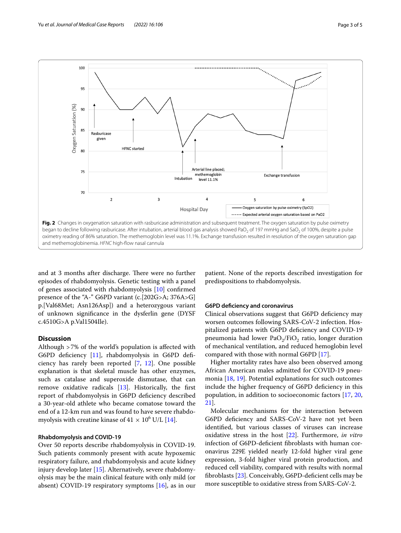

<span id="page-2-0"></span>and at 3 months after discharge. There were no further episodes of rhabdomyolysis. Genetic testing with a panel of genes associated with rhabdomyolysis [[10\]](#page-3-9) confrmed presence of the "A-" G6PD variant (c.[202G>A; 376A>G] p.[Val68Met; Asn126Asp]) and a heterozygous variant of unknown signifcance in the dysferlin gene (DYSF c.4510G>A p.Val1504Ile).

# **Discussion**

Although >7% of the world's population is afected with G6PD deficiency [\[11](#page-3-10)], rhabdomyolysis in G6PD deficiency has rarely been reported [[7,](#page-3-6) [12\]](#page-3-11). One possible explanation is that skeletal muscle has other enzymes, such as catalase and superoxide dismutase, that can remove oxidative radicals [[13\]](#page-3-12). Historically, the frst report of rhabdomyolysis in G6PD defciency described a 30-year-old athlete who became comatose toward the end of a 12-km run and was found to have severe rhabdomyolysis with creatine kinase of  $41 \times 10^6$  U/L [[14\]](#page-3-13).

## **Rhabdomyolysis and COVID‑19**

Over 50 reports describe rhabdomyolysis in COVID-19. Such patients commonly present with acute hypoxemic respiratory failure, and rhabdomyolysis and acute kidney injury develop later [\[15\]](#page-3-14). Alternatively, severe rhabdomyolysis may be the main clinical feature with only mild (or absent) COVID-19 respiratory symptoms [\[16\]](#page-3-15), as in our

patient. None of the reports described investigation for predispositions to rhabdomyolysis.

## **G6PD defciency and coronavirus**

Clinical observations suggest that G6PD defciency may worsen outcomes following SARS-CoV-2 infection. Hospitalized patients with G6PD defciency and COVID-19 pneumonia had lower  $PaO<sub>2</sub>/FiO<sub>2</sub>$  ratio, longer duration of mechanical ventilation, and reduced hemoglobin level compared with those with normal G6PD [\[17\]](#page-3-16).

Higher mortality rates have also been observed among African American males admitted for COVID-19 pneumonia [[18](#page-3-17), [19](#page-3-18)]. Potential explanations for such outcomes include the higher frequency of G6PD defciency in this population, in addition to socioeconomic factors [[17](#page-3-16), [20](#page-4-0), [21\]](#page-4-1).

Molecular mechanisms for the interaction between G6PD defciency and SARS-CoV-2 have not yet been identifed, but various classes of viruses can increase oxidative stress in the host [\[22](#page-4-2)]. Furthermore, *in vitro* infection of G6PD-defcient fbroblasts with human coronavirus 229E yielded nearly 12-fold higher viral gene expression, 3-fold higher viral protein production, and reduced cell viability, compared with results with normal fbroblasts [[23\]](#page-4-3). Conceivably, G6PD-defcient cells may be more susceptible to oxidative stress from SARS-CoV-2.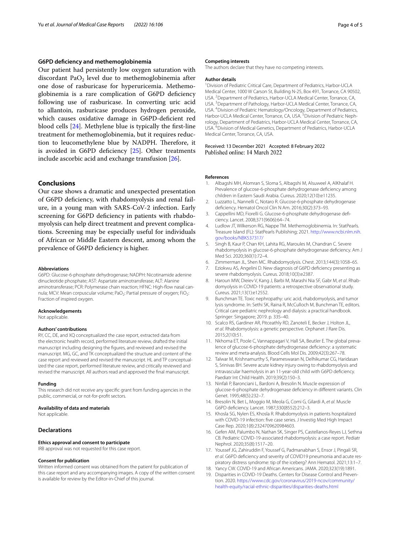# **G6PD defciency and methemoglobinemia**

Our patient had persistently low oxygen saturation with discordant Pa $O<sub>2</sub>$  level due to methemoglobinemia after one dose of rasburicase for hyperuricemia. Methemoglobinemia is a rare complication of G6PD defciency following use of rasburicase. In converting uric acid to allantoin, rasburicase produces hydrogen peroxide, which causes oxidative damage in G6PD-defcient red blood cells [\[24](#page-4-4)]. Methylene blue is typically the frst-line treatment for methemoglobinemia, but it requires reduction to leucomethylene blue by NADPH. Therefore, it is avoided in G6PD deficiency [[25\]](#page-4-5). Other treatments include ascorbic acid and exchange transfusion [[26\]](#page-4-6).

# **Conclusions**

Our case shows a dramatic and unexpected presentation of G6PD defciency, with rhabdomyolysis and renal failure, in a young man with SARS-CoV-2 infection. Early screening for G6PD deficiency in patients with rhabdomyolysis can help direct treatment and prevent complications. Screening may be especially useful for individuals of African or Middle Eastern descent, among whom the prevalence of G6PD defciency is higher.

#### **Abbreviations**

G6PD: Glucose-6-phosphate dehydrogenase; NADPH: Nicotinamide adenine dinucleotide phosphate; AST: Aspartate aminotransferase; ALT: Alanine aminotransferase; PCR: Polymerase chain reaction; HFNC: High-flow nasal cannula; MCV: Mean corpuscular volume; PaO<sub>2</sub>: Partial pressure of oxygen; FiO<sub>2</sub>: Fraction of inspired oxygen.

#### **Acknowledgements**

Not applicable.

## **Authors' contributions**

RY, CC, DE, and XQ conceptualized the case report, extracted data from the electronic health record, performed literature review, drafted the initial manuscript including designing the fgures, and reviewed and revised the manuscript. MG, GC, and TK conceptualized the structure and content of the case report and reviewed and revised the manuscript. HL and TP conceptualized the case report, performed literature review, and critically reviewed and revised the manuscript. All authors read and approved the fnal manuscript.

#### **Funding**

This research did not receive any specifc grant from funding agencies in the public, commercial, or not-for-proft sectors.

#### **Availability of data and materials**

Not applicable.

# **Declarations**

#### **Ethics approval and consent to participate**

IRB approval was not requested for this case report.

#### **Consent for publication**

Written informed consent was obtained from the patient for publication of this case report and any accompanying images. A copy of the written consent is available for review by the Editor-in-Chief of this journal.

#### **Competing interests**

The authors declare that they have no competing interests.

#### **Author details**

<sup>1</sup> Division of Pediatric Critical Care, Department of Pediatrics, Harbor-UCLA Medical Center, 1000 W Carson St, Building N‑25, Box 491, Torrance, CA 90502, USA. <sup>2</sup> Department of Pediatrics, Harbor-UCLA Medical Center, Torrance, CA, USA.<sup>3</sup> Department of Pathology, Harbor-UCLA Medical Center, Torrance, CA, USA. 4 Division of Pediatric Hematology/Oncology, Department of Pediatrics, Harbor-UCLA Medical Center, Torrance, CA, USA.<sup>5</sup> Division of Pediatric Nephrology, Department of Pediatrics, Harbor-UCLA Medical Center, Torrance, CA, USA. <sup>6</sup> Division of Medical Genetics, Department of Pediatrics, Harbor-UCLA Medical Center, Torrance, CA, USA.

Received: 13 December 2021 Accepted: 8 February 2022 Published online: 14 March 2022

#### **References**

- <span id="page-3-0"></span>1. Albagshi MH, Alomran S, Sloma S, Albagshi M, Alsuweel A, AlKhalaf H. Prevalence of glucose-6-phosphate dehydrogenase defciency among children in Eastern Saudi Arabia. Cureus. 2020;12(10):e11235.
- <span id="page-3-1"></span>2. Luzzatto L, Nannelli C, Notaro R. Glucose-6-phosphate dehydrogenase defciency. Hematol Oncol Clin N Am. 2016;30(2):373–93.
- <span id="page-3-2"></span>3. Cappellini MD, Fiorelli G. Glucose-6-phosphate dehydrogenase deficiency. Lancet. 2008;371(9606):64–74.
- <span id="page-3-3"></span>4. Ludlow JT, Wilkerson RG, Nappe TM. Methemoglobinemia. In: StatPearls. Treasure Island (FL): StatPearls Publishing; 2021. [http://www.ncbi.nlm.nih.](http://www.ncbi.nlm.nih.gov/books/NBK537317/) [gov/books/NBK537317/](http://www.ncbi.nlm.nih.gov/books/NBK537317/)
- <span id="page-3-4"></span>5. Singh B, Kaur P, Chan KH, Lahita RG, Maroules M, Chandran C. Severe rhabdomyolysis in glucose-6-phosphate dehydrogenase defciency. Am J Med Sci. 2020;360(1):72–4.
- <span id="page-3-5"></span>6. Zimmerman JL, Shen MC. Rhabdomyolysis. Chest. 2013;144(3):1058–65.
- <span id="page-3-6"></span>Eziokwu AS, Angelini D. New diagnosis of G6PD deficiency presenting as severe rhabdomyolysis. Cureus. 2018;10(3):e2387.
- <span id="page-3-7"></span>8. Haroun MW, Dieiev V, Kang J, Barbi M, Marashi Nia SF, Gabr M, *et al*. Rhab‑ domyolysis in COVID-19 patients: a retrospective observational study. Cureus. 2021;13(1):e12552.
- <span id="page-3-8"></span>9. Bunchman TE. Toxic nephropathy: uric acid, rhabdomyolysis, and tumor lysis syndrome. In: Sethi SK, Raina R, McCulloch M, Bunchman TE, editors. Critical care pediatric nephrology and dialysis: a practical handbook. Springer: Singapore; 2019. p. 335–40.
- <span id="page-3-9"></span>10. Scalco RS, Gardiner AR, Pitceathly RD, Zanoteli E, Becker J, Holton JL, *et al*. Rhabdomyolysis: a genetic perspective. Orphanet J Rare Dis. 2015;2(10):51.
- <span id="page-3-10"></span>11. Nkhoma ET, Poole C, Vannappagari V, Hall SA, Beutler E. The global prevalence of glucose-6-phosphate dehydrogenase defciency: a systematic review and meta-analysis. Blood Cells Mol Dis. 2009;42(3):267–78.
- <span id="page-3-11"></span>12. Talwar M, Krishnamurthy S, Parameswaran N, Delhikumar CG, Haridasan S, Srinivas BH. Severe acute kidney injury owing to rhabdomyolysis and intravascular haemolysis in an 11-year-old child with G6PD defciency. Paediatr Int Child Health. 2019;39(2):150–3.
- <span id="page-3-12"></span>13. Ninfali P, Baronciani L, Bardoni A, Bresolin N. Muscle expression of glucose-6-phosphate dehydrogenase defciency in diferent variants. Clin Genet. 1995;48(5):232–7.
- <span id="page-3-13"></span>14. Bresolin N, Bet L, Moggio M, Meola G, Comi G, Gilardi A, *et al*. Muscle G6PD defciency. Lancet. 1987;330(8552):212–3.
- <span id="page-3-14"></span>15. Khosla SG, Nylen ES, Khosla R. Rhabdomyolysis in patients hospitalized with COVID-19 infection: fve case series. J Investig Med High Impact Case Rep. 2020;1(8):2324709620984603.
- <span id="page-3-15"></span>16. Gefen AM, Palumbo N, Nathan SK, Singer PS, Castellanos-Reyes LJ, Sethna CB. Pediatric COVID-19-associated rhabdomyolysis: a case report. Pediatr Nephrol. 2020;35(8):1517–20.
- <span id="page-3-16"></span>17. Youssef JG, Zahiruddin F, Youssef G, Padmanabhan S, Ensor J, Pingali SR, *et al*. G6PD defciency and severity of COVID19 pneumonia and acute res‑ piratory distress syndrome: tip of the iceberg? Ann Hematol. 2021;13:1–7.
- <span id="page-3-17"></span>18. Yancy CW. COVID-19 and African Americans. JAMA. 2020;323(19):1891.
- <span id="page-3-18"></span>19. Disparities in COVID-19 Deaths. Centers for Disease Control and Prevention. 2020. [https://www.cdc.gov/coronavirus/2019-ncov/community/](https://www.cdc.gov/coronavirus/2019-ncov/community/health-equity/racial-ethnic-disparities/disparities-deaths.html) [health-equity/racial-ethnic-disparities/disparities-deaths.html](https://www.cdc.gov/coronavirus/2019-ncov/community/health-equity/racial-ethnic-disparities/disparities-deaths.html)